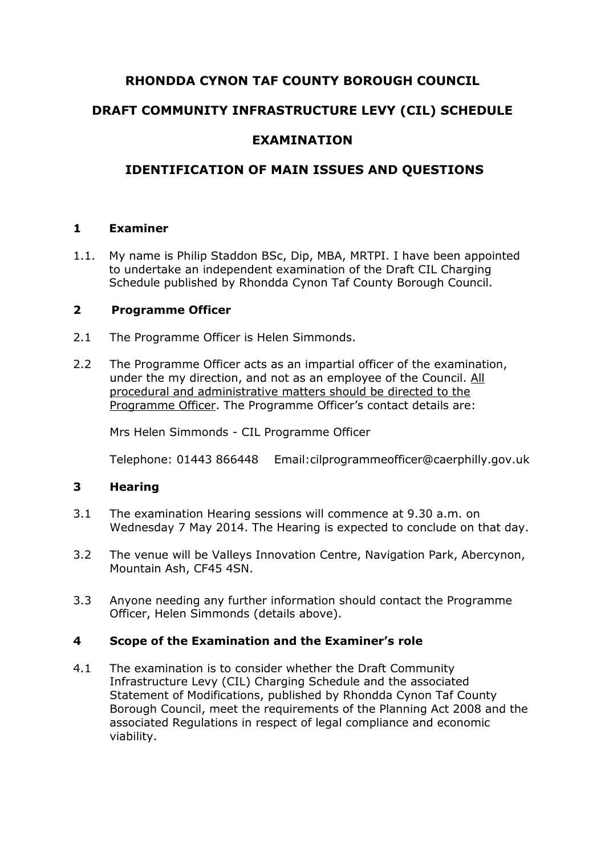# **RHONDDA CYNON TAF COUNTY BOROUGH COUNCIL**

# **DRAFT COMMUNITY INFRASTRUCTURE LEVY (CIL) SCHEDULE**

## **EXAMINATION**

# **IDENTIFICATION OF MAIN ISSUES AND QUESTIONS**

### **1 Examiner**

1.1. My name is Philip Staddon BSc, Dip, MBA, MRTPI. I have been appointed to undertake an independent examination of the Draft CIL Charging Schedule published by Rhondda Cynon Taf County Borough Council.

#### **2 Programme Officer**

- 2.1 The Programme Officer is Helen Simmonds.
- 2.2 The Programme Officer acts as an impartial officer of the examination, under the my direction, and not as an employee of the Council. All procedural and administrative matters should be directed to the Programme Officer. The Programme Officer's contact details are:

Mrs Helen Simmonds - CIL Programme Officer

Telephone: 01443 866448 Email:cilprogrammeofficer@caerphilly.gov.uk

### **3 Hearing**

- 3.1 The examination Hearing sessions will commence at 9.30 a.m. on Wednesday 7 May 2014. The Hearing is expected to conclude on that day.
- 3.2 The venue will be Valleys Innovation Centre, Navigation Park, Abercynon, Mountain Ash, CF45 4SN.
- 3.3 Anyone needing any further information should contact the Programme Officer, Helen Simmonds (details above).

#### **4 Scope of the Examination and the Examiner's role**

4.1 The examination is to consider whether the Draft Community Infrastructure Levy (CIL) Charging Schedule and the associated Statement of Modifications, published by Rhondda Cynon Taf County Borough Council, meet the requirements of the Planning Act 2008 and the associated Regulations in respect of legal compliance and economic viability.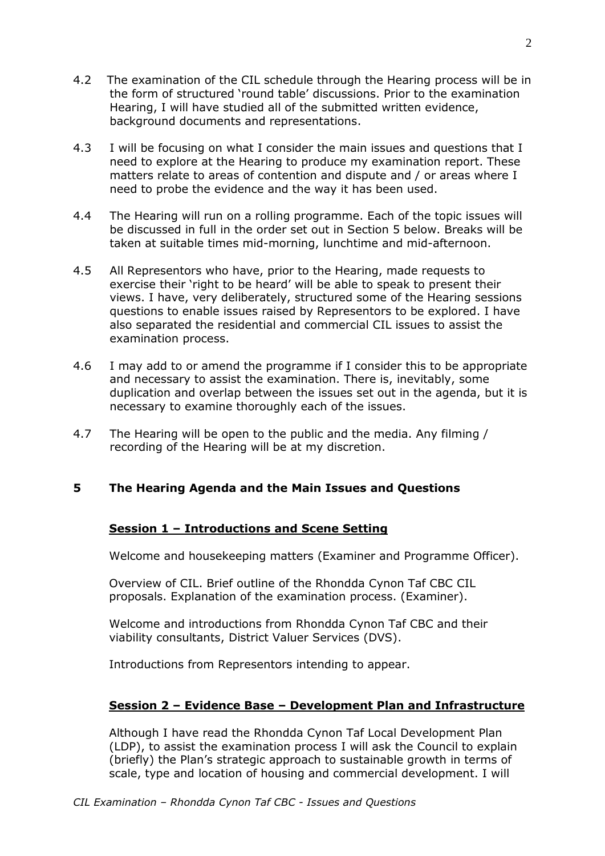- 4.2 The examination of the CIL schedule through the Hearing process will be in the form of structured 'round table' discussions. Prior to the examination Hearing, I will have studied all of the submitted written evidence, background documents and representations.
- 4.3 I will be focusing on what I consider the main issues and questions that I need to explore at the Hearing to produce my examination report. These matters relate to areas of contention and dispute and / or areas where I need to probe the evidence and the way it has been used.
- 4.4 The Hearing will run on a rolling programme. Each of the topic issues will be discussed in full in the order set out in Section 5 below. Breaks will be taken at suitable times mid-morning, lunchtime and mid-afternoon.
- 4.5 All Representors who have, prior to the Hearing, made requests to exercise their 'right to be heard' will be able to speak to present their views. I have, very deliberately, structured some of the Hearing sessions questions to enable issues raised by Representors to be explored. I have also separated the residential and commercial CIL issues to assist the examination process.
- 4.6 I may add to or amend the programme if I consider this to be appropriate and necessary to assist the examination. There is, inevitably, some duplication and overlap between the issues set out in the agenda, but it is necessary to examine thoroughly each of the issues.
- 4.7 The Hearing will be open to the public and the media. Any filming / recording of the Hearing will be at my discretion.

### **5 The Hearing Agenda and the Main Issues and Questions**

#### **Session 1 – Introductions and Scene Setting**

Welcome and housekeeping matters (Examiner and Programme Officer).

Overview of CIL. Brief outline of the Rhondda Cynon Taf CBC CIL proposals. Explanation of the examination process. (Examiner).

Welcome and introductions from Rhondda Cynon Taf CBC and their viability consultants, District Valuer Services (DVS).

Introductions from Representors intending to appear.

#### **Session 2 – Evidence Base – Development Plan and Infrastructure**

Although I have read the Rhondda Cynon Taf Local Development Plan (LDP), to assist the examination process I will ask the Council to explain (briefly) the Plan's strategic approach to sustainable growth in terms of scale, type and location of housing and commercial development. I will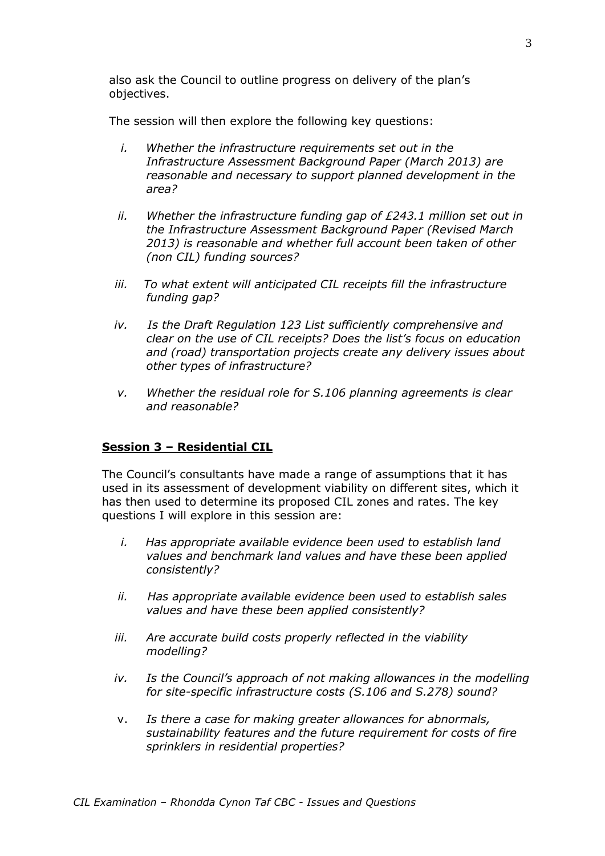also ask the Council to outline progress on delivery of the plan's objectives.

The session will then explore the following key questions:

- *i. Whether the infrastructure requirements set out in the Infrastructure Assessment Background Paper (March 2013) are reasonable and necessary to support planned development in the area?*
- *ii. Whether the infrastructure funding gap of £243.1 million set out in the Infrastructure Assessment Background Paper (Revised March 2013) is reasonable and whether full account been taken of other (non CIL) funding sources?*
- iii. To what extent will anticipated CIL receipts fill the infrastructure *funding gap?*
- *iv. Is the Draft Regulation 123 List sufficiently comprehensive and clear on the use of CIL receipts? Does the list's focus on education and (road) transportation projects create any delivery issues about other types of infrastructure?*
- *v. Whether the residual role for S.106 planning agreements is clear and reasonable?*

#### **Session 3 – Residential CIL**

The Council's consultants have made a range of assumptions that it has used in its assessment of development viability on different sites, which it has then used to determine its proposed CIL zones and rates. The key questions I will explore in this session are:

- *i. Has appropriate available evidence been used to establish land values and benchmark land values and have these been applied consistently?*
- *ii. Has appropriate available evidence been used to establish sales values and have these been applied consistently?*
- *iii. Are accurate build costs properly reflected in the viability modelling?*
- *iv. Is the Council's approach of not making allowances in the modelling for site-specific infrastructure costs (S.106 and S.278) sound?*
- v. *Is there a case for making greater allowances for abnormals, sustainability features and the future requirement for costs of fire sprinklers in residential properties?*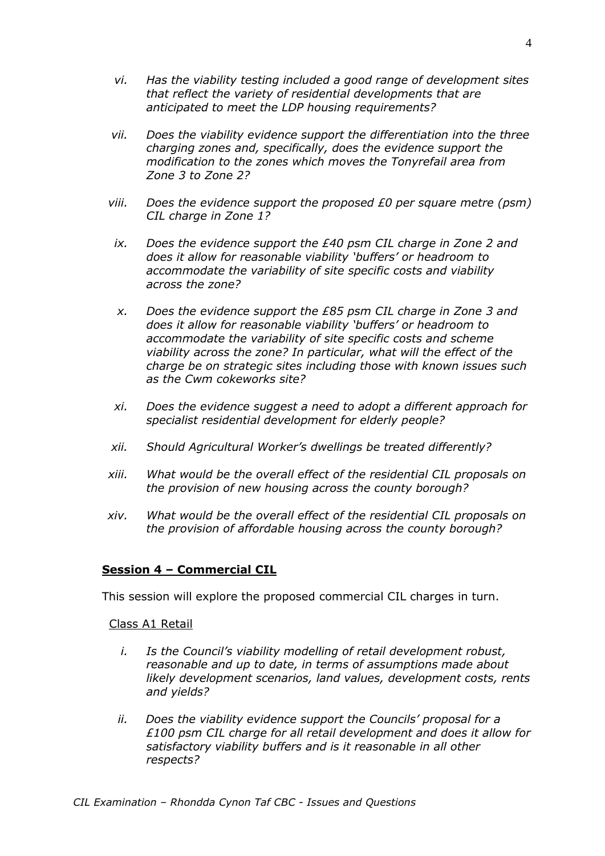- *vi. Has the viability testing included a good range of development sites that reflect the variety of residential developments that are anticipated to meet the LDP housing requirements?*
- *vii. Does the viability evidence support the differentiation into the three charging zones and, specifically, does the evidence support the modification to the zones which moves the Tonyrefail area from Zone 3 to Zone 2?*
- *viii. Does the evidence support the proposed £0 per square metre (psm) CIL charge in Zone 1?*
- *ix. Does the evidence support the £40 psm CIL charge in Zone 2 and does it allow for reasonable viability 'buffers' or headroom to accommodate the variability of site specific costs and viability across the zone?*
- *x. Does the evidence support the £85 psm CIL charge in Zone 3 and does it allow for reasonable viability 'buffers' or headroom to accommodate the variability of site specific costs and scheme viability across the zone? In particular, what will the effect of the charge be on strategic sites including those with known issues such as the Cwm cokeworks site?*
- *xi. Does the evidence suggest a need to adopt a different approach for specialist residential development for elderly people?*
- *xii. Should Agricultural Worker's dwellings be treated differently?*
- *xiii. What would be the overall effect of the residential CIL proposals on the provision of new housing across the county borough?*
- *xiv. What would be the overall effect of the residential CIL proposals on the provision of affordable housing across the county borough?*

#### **Session 4 – Commercial CIL**

This session will explore the proposed commercial CIL charges in turn.

Class A1 Retail

- *i. Is the Council's viability modelling of retail development robust, reasonable and up to date, in terms of assumptions made about likely development scenarios, land values, development costs, rents and yields?*
- *ii. Does the viability evidence support the Councils' proposal for a £100 psm CIL charge for all retail development and does it allow for satisfactory viability buffers and is it reasonable in all other respects?*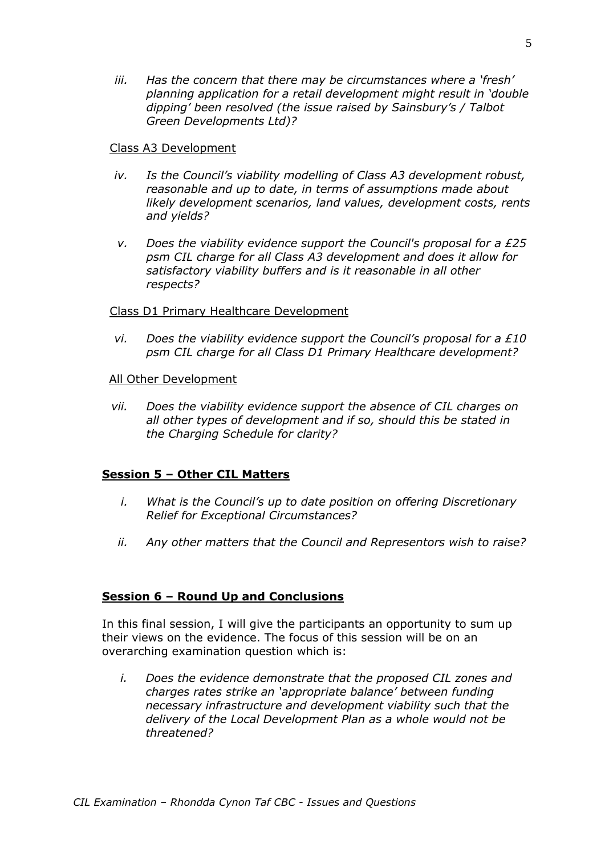*iii. Has the concern that there may be circumstances where a 'fresh' planning application for a retail development might result in 'double dipping' been resolved (the issue raised by Sainsbury's / Talbot Green Developments Ltd)?*

#### Class A3 Development

- *iv. Is the Council's viability modelling of Class A3 development robust, reasonable and up to date, in terms of assumptions made about likely development scenarios, land values, development costs, rents and yields?*
- *v. Does the viability evidence support the Council's proposal for a £25 psm CIL charge for all Class A3 development and does it allow for satisfactory viability buffers and is it reasonable in all other respects?*

#### Class D1 Primary Healthcare Development

*vi. Does the viability evidence support the Council's proposal for a £10 psm CIL charge for all Class D1 Primary Healthcare development?*

#### All Other Development

*vii. Does the viability evidence support the absence of CIL charges on all other types of development and if so, should this be stated in the Charging Schedule for clarity?*

#### **Session 5 – Other CIL Matters**

- *i. What is the Council's up to date position on offering Discretionary Relief for Exceptional Circumstances?*
- *ii. Any other matters that the Council and Representors wish to raise?*

#### **Session 6 – Round Up and Conclusions**

In this final session, I will give the participants an opportunity to sum up their views on the evidence. The focus of this session will be on an overarching examination question which is:

*i. Does the evidence demonstrate that the proposed CIL zones and charges rates strike an 'appropriate balance' between funding necessary infrastructure and development viability such that the delivery of the Local Development Plan as a whole would not be threatened?*